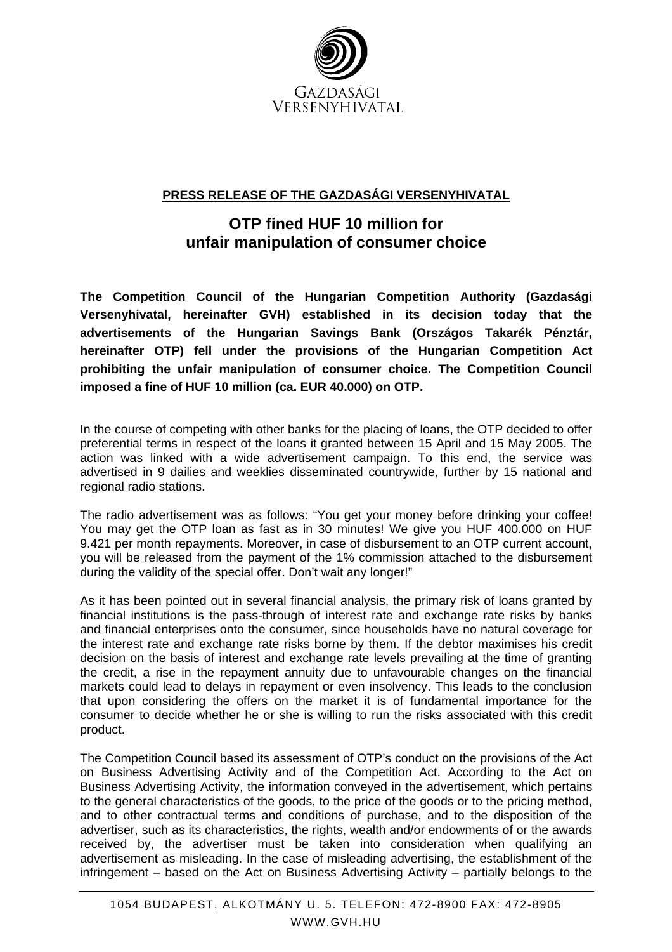

## **PRESS RELEASE OF THE GAZDASÁGI VERSENYHIVATAL**

## **OTP fined HUF 10 million for unfair manipulation of consumer choice**

**The Competition Council of the Hungarian Competition Authority (Gazdasági Versenyhivatal, hereinafter GVH) established in its decision today that the advertisements of the Hungarian Savings Bank (Országos Takarék Pénztár, hereinafter OTP) fell under the provisions of the Hungarian Competition Act prohibiting the unfair manipulation of consumer choice. The Competition Council imposed a fine of HUF 10 million (ca. EUR 40.000) on OTP.** 

In the course of competing with other banks for the placing of loans, the OTP decided to offer preferential terms in respect of the loans it granted between 15 April and 15 May 2005. The action was linked with a wide advertisement campaign. To this end, the service was advertised in 9 dailies and weeklies disseminated countrywide, further by 15 national and regional radio stations.

The radio advertisement was as follows: "You get your money before drinking your coffee! You may get the OTP loan as fast as in 30 minutes! We give you HUF 400.000 on HUF 9.421 per month repayments. Moreover, in case of disbursement to an OTP current account, you will be released from the payment of the 1% commission attached to the disbursement during the validity of the special offer. Don't wait any longer!"

As it has been pointed out in several financial analysis, the primary risk of loans granted by financial institutions is the pass-through of interest rate and exchange rate risks by banks and financial enterprises onto the consumer, since households have no natural coverage for the interest rate and exchange rate risks borne by them. If the debtor maximises his credit decision on the basis of interest and exchange rate levels prevailing at the time of granting the credit, a rise in the repayment annuity due to unfavourable changes on the financial markets could lead to delays in repayment or even insolvency. This leads to the conclusion that upon considering the offers on the market it is of fundamental importance for the consumer to decide whether he or she is willing to run the risks associated with this credit product.

The Competition Council based its assessment of OTP's conduct on the provisions of the Act on Business Advertising Activity and of the Competition Act. According to the Act on Business Advertising Activity, the information conveyed in the advertisement, which pertains to the general characteristics of the goods, to the price of the goods or to the pricing method, and to other contractual terms and conditions of purchase, and to the disposition of the advertiser, such as its characteristics, the rights, wealth and/or endowments of or the awards received by, the advertiser must be taken into consideration when qualifying an advertisement as misleading. In the case of misleading advertising, the establishment of the infringement – based on the Act on Business Advertising Activity – partially belongs to the